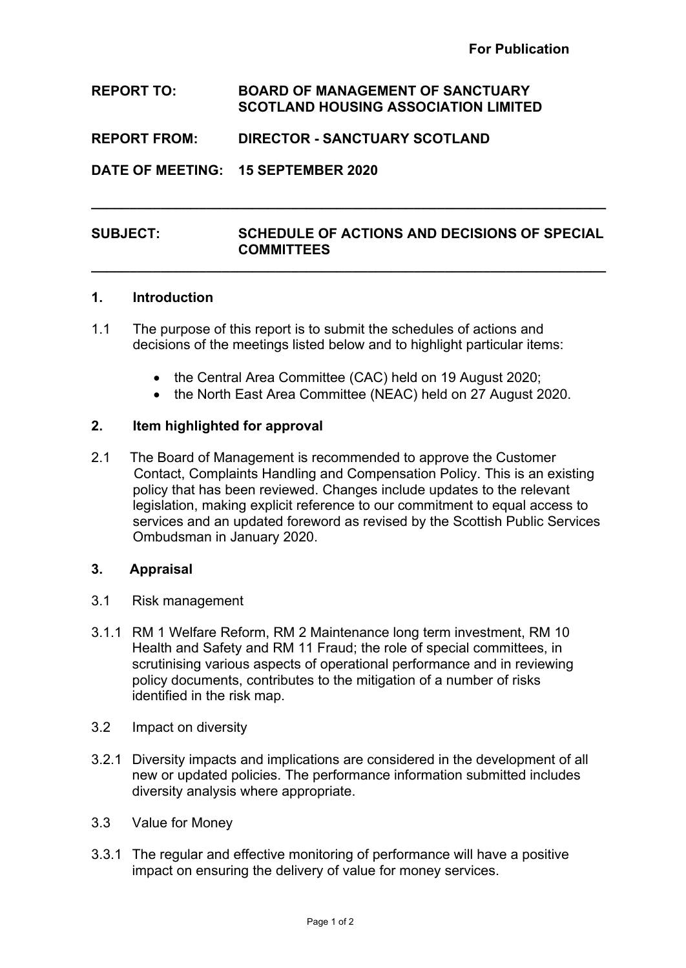# **REPORT TO: BOARD OF MANAGEMENT OF SANCTUARY SCOTLAND HOUSING ASSOCIATION LIMITED**

## **REPORT FROM: DIRECTOR - SANCTUARY SCOTLAND**

**DATE OF MEETING: 15 SEPTEMBER 2020**

#### **SUBJECT: SCHEDULE OF ACTIONS AND DECISIONS OF SPECIAL COMMITTEES**

**\_\_\_\_\_\_\_\_\_\_\_\_\_\_\_\_\_\_\_\_\_\_\_\_\_\_\_\_\_\_\_\_\_\_\_\_\_\_\_\_\_\_\_\_\_\_\_\_\_\_\_\_\_\_\_\_\_\_\_\_\_\_\_\_\_\_\_**

**\_\_\_\_\_\_\_\_\_\_\_\_\_\_\_\_\_\_\_\_\_\_\_\_\_\_\_\_\_\_\_\_\_\_\_\_\_\_\_\_\_\_\_\_\_\_\_\_\_\_\_\_\_\_\_\_\_\_\_\_\_\_\_\_\_\_\_**

#### **1. Introduction**

1.1 The purpose of this report is to submit the schedules of actions and decisions of the meetings listed below and to highlight particular items:

- the Central Area Committee (CAC) held on 19 August 2020;
- the North East Area Committee (NEAC) held on 27 August 2020.

### **2. Item highlighted for approval**

2.1 The Board of Management is recommended to approve the Customer Contact, Complaints Handling and Compensation Policy. This is an existing policy that has been reviewed. Changes include updates to the relevant legislation, making explicit reference to our commitment to equal access to services and an updated foreword as revised by the Scottish Public Services Ombudsman in January 2020.

#### **3. Appraisal**

- 3.1 Risk management
- 3.1.1 RM 1 Welfare Reform, RM 2 Maintenance long term investment, RM 10 Health and Safety and RM 11 Fraud; the role of special committees, in scrutinising various aspects of operational performance and in reviewing policy documents, contributes to the mitigation of a number of risks identified in the risk map.
- 3.2 Impact on diversity
- 3.2.1 Diversity impacts and implications are considered in the development of all new or updated policies. The performance information submitted includes diversity analysis where appropriate.
- 3.3 Value for Money
- 3.3.1 The regular and effective monitoring of performance will have a positive impact on ensuring the delivery of value for money services.